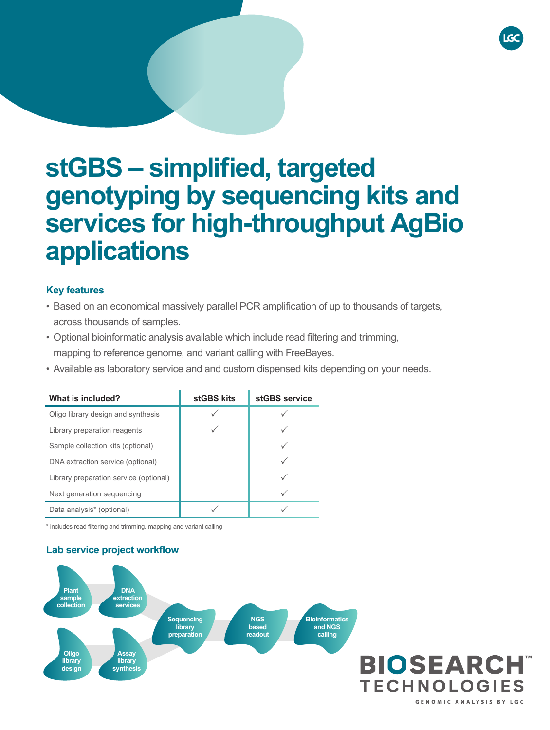# **stGBS – simplified, targeted genotyping by sequencing kits and services for high-throughput AgBio applications**

## **Key features**

- Based on an economical massively parallel PCR amplification of up to thousands of targets, across thousands of samples.
- • Optional bioinformatic analysis available which include read filtering and trimming, mapping to reference genome, and variant calling with FreeBayes.
- Available as laboratory service and and custom dispensed kits depending on your needs.

| What is included?                      | stGBS kits | stGBS service |
|----------------------------------------|------------|---------------|
| Oligo library design and synthesis     |            |               |
| Library preparation reagents           |            |               |
| Sample collection kits (optional)      |            |               |
| DNA extraction service (optional)      |            |               |
| Library preparation service (optional) |            |               |
| Next generation sequencing             |            |               |
| Data analysis* (optional)              |            |               |

\* includes read filtering and trimming, mapping and variant calling

# **Lab service project workflow**